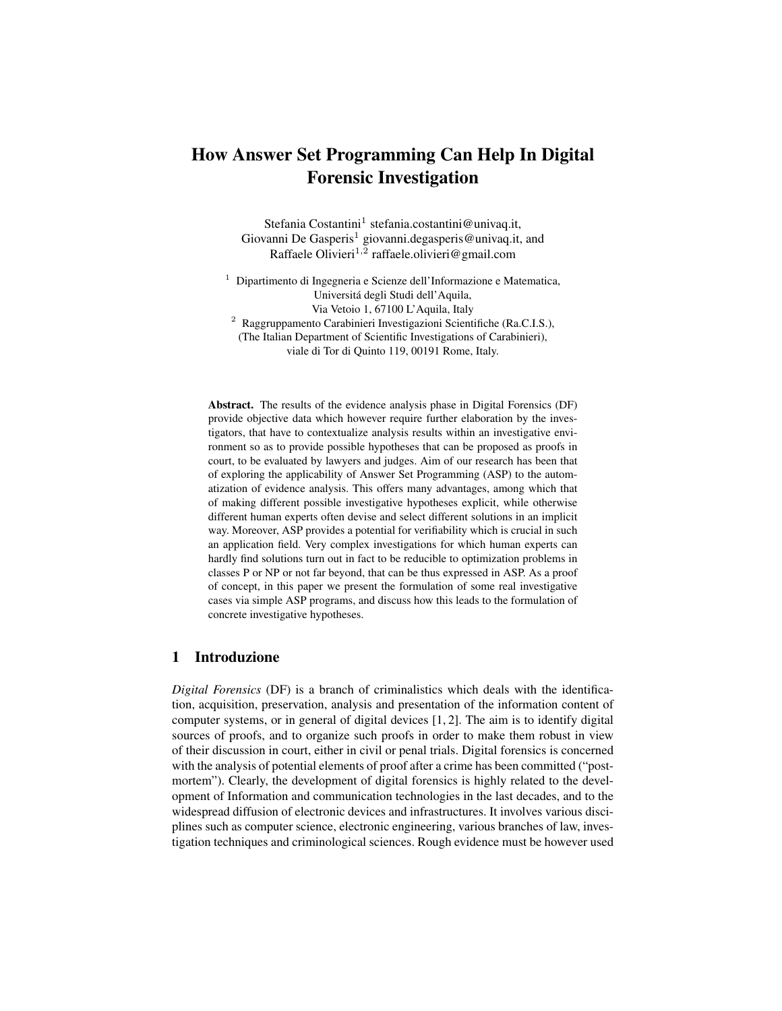# How Answer Set Programming Can Help In Digital Forensic Investigation

Stefania Costantini<sup>1</sup> stefania.costantini@univaq.it, Giovanni De Gasperis<sup>1</sup> giovanni.degasperis@univaq.it, and Raffaele Olivieri $^{1,2}$  raffaele.olivieri@gmail.com

<sup>1</sup> Dipartimento di Ingegneria e Scienze dell'Informazione e Matematica, Universitá degli Studi dell'Aquila, Via Vetoio 1, 67100 L'Aquila, Italy <sup>2</sup> Raggruppamento Carabinieri Investigazioni Scientifiche (Ra.C.I.S.), (The Italian Department of Scientific Investigations of Carabinieri), viale di Tor di Quinto 119, 00191 Rome, Italy.

Abstract. The results of the evidence analysis phase in Digital Forensics (DF) provide objective data which however require further elaboration by the investigators, that have to contextualize analysis results within an investigative environment so as to provide possible hypotheses that can be proposed as proofs in court, to be evaluated by lawyers and judges. Aim of our research has been that of exploring the applicability of Answer Set Programming (ASP) to the automatization of evidence analysis. This offers many advantages, among which that of making different possible investigative hypotheses explicit, while otherwise different human experts often devise and select different solutions in an implicit way. Moreover, ASP provides a potential for verifiability which is crucial in such an application field. Very complex investigations for which human experts can hardly find solutions turn out in fact to be reducible to optimization problems in classes P or NP or not far beyond, that can be thus expressed in ASP. As a proof of concept, in this paper we present the formulation of some real investigative cases via simple ASP programs, and discuss how this leads to the formulation of concrete investigative hypotheses.

# 1 Introduzione

*Digital Forensics* (DF) is a branch of criminalistics which deals with the identification, acquisition, preservation, analysis and presentation of the information content of computer systems, or in general of digital devices [1, 2]. The aim is to identify digital sources of proofs, and to organize such proofs in order to make them robust in view of their discussion in court, either in civil or penal trials. Digital forensics is concerned with the analysis of potential elements of proof after a crime has been committed ("postmortem"). Clearly, the development of digital forensics is highly related to the development of Information and communication technologies in the last decades, and to the widespread diffusion of electronic devices and infrastructures. It involves various disciplines such as computer science, electronic engineering, various branches of law, investigation techniques and criminological sciences. Rough evidence must be however used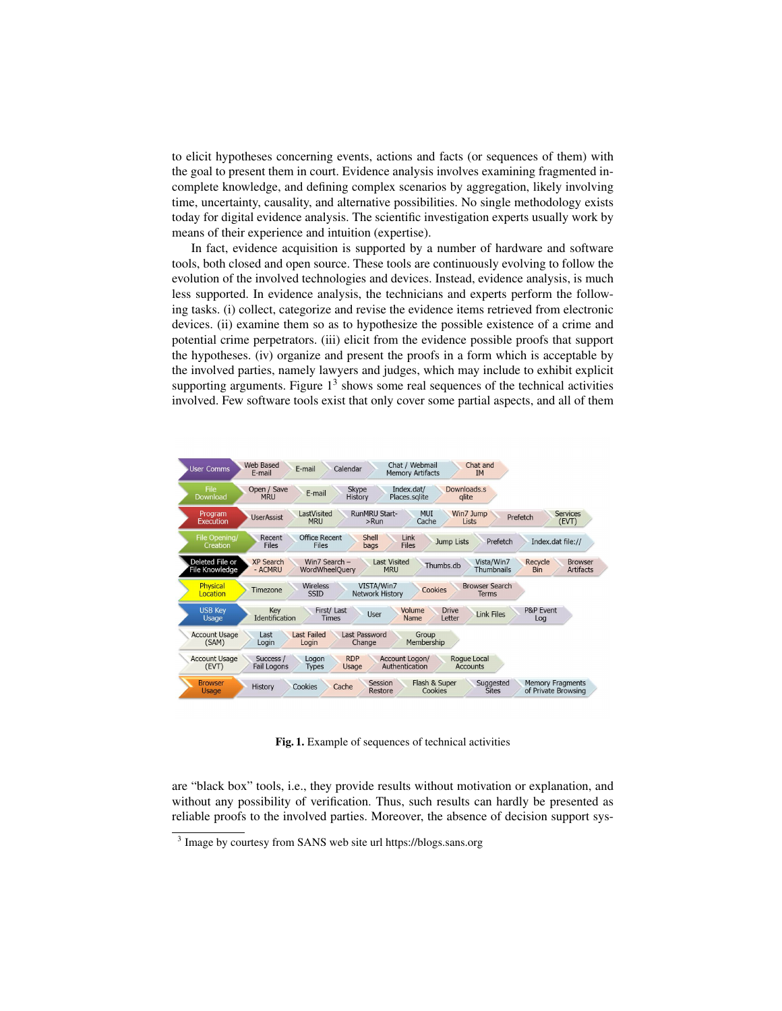to elicit hypotheses concerning events, actions and facts (or sequences of them) with the goal to present them in court. Evidence analysis involves examining fragmented incomplete knowledge, and defining complex scenarios by aggregation, likely involving time, uncertainty, causality, and alternative possibilities. No single methodology exists today for digital evidence analysis. The scientific investigation experts usually work by means of their experience and intuition (expertise).

In fact, evidence acquisition is supported by a number of hardware and software tools, both closed and open source. These tools are continuously evolving to follow the evolution of the involved technologies and devices. Instead, evidence analysis, is much less supported. In evidence analysis, the technicians and experts perform the following tasks. (i) collect, categorize and revise the evidence items retrieved from electronic devices. (ii) examine them so as to hypothesize the possible existence of a crime and potential crime perpetrators. (iii) elicit from the evidence possible proofs that support the hypotheses. (iv) organize and present the proofs in a form which is acceptable by the involved parties, namely lawyers and judges, which may include to exhibit explicit supporting arguments. Figure  $1<sup>3</sup>$  shows some real sequences of the technical activities involved. Few software tools exist that only cover some partial aspects, and all of them



Fig. 1. Example of sequences of technical activities

are "black box" tools, i.e., they provide results without motivation or explanation, and without any possibility of verification. Thus, such results can hardly be presented as reliable proofs to the involved parties. Moreover, the absence of decision support sys-

<sup>&</sup>lt;sup>3</sup> Image by courtesy from SANS web site url https://blogs.sans.org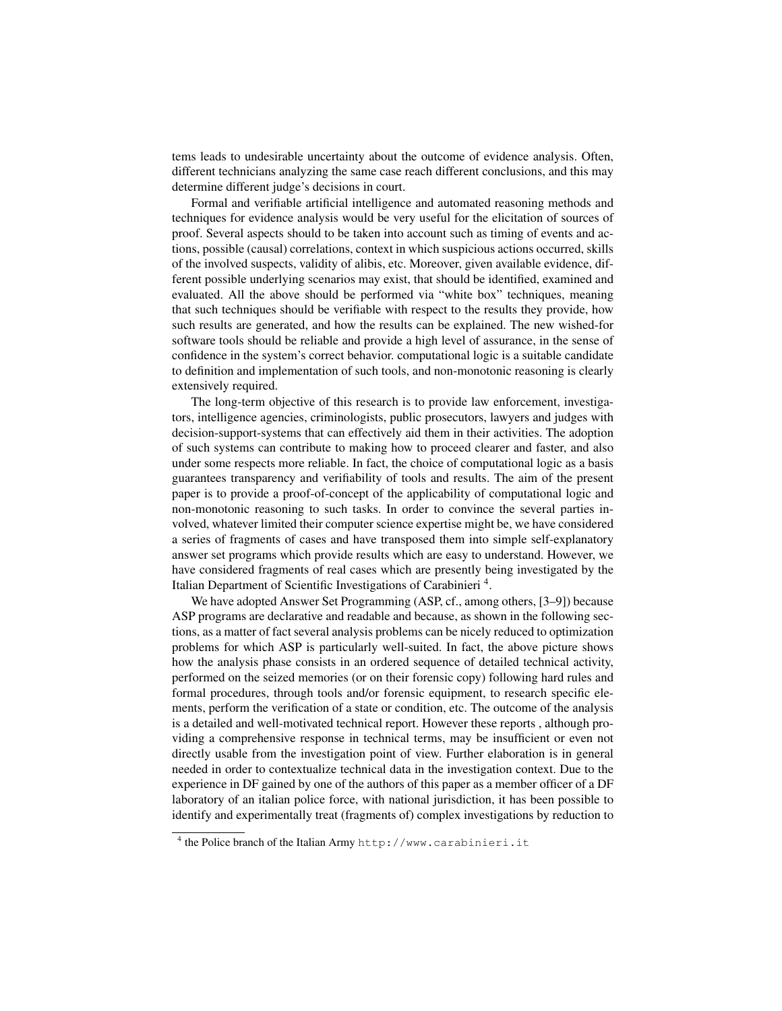tems leads to undesirable uncertainty about the outcome of evidence analysis. Often, different technicians analyzing the same case reach different conclusions, and this may determine different judge's decisions in court.

Formal and verifiable artificial intelligence and automated reasoning methods and techniques for evidence analysis would be very useful for the elicitation of sources of proof. Several aspects should to be taken into account such as timing of events and actions, possible (causal) correlations, context in which suspicious actions occurred, skills of the involved suspects, validity of alibis, etc. Moreover, given available evidence, different possible underlying scenarios may exist, that should be identified, examined and evaluated. All the above should be performed via "white box" techniques, meaning that such techniques should be verifiable with respect to the results they provide, how such results are generated, and how the results can be explained. The new wished-for software tools should be reliable and provide a high level of assurance, in the sense of confidence in the system's correct behavior. computational logic is a suitable candidate to definition and implementation of such tools, and non-monotonic reasoning is clearly extensively required.

The long-term objective of this research is to provide law enforcement, investigators, intelligence agencies, criminologists, public prosecutors, lawyers and judges with decision-support-systems that can effectively aid them in their activities. The adoption of such systems can contribute to making how to proceed clearer and faster, and also under some respects more reliable. In fact, the choice of computational logic as a basis guarantees transparency and verifiability of tools and results. The aim of the present paper is to provide a proof-of-concept of the applicability of computational logic and non-monotonic reasoning to such tasks. In order to convince the several parties involved, whatever limited their computer science expertise might be, we have considered a series of fragments of cases and have transposed them into simple self-explanatory answer set programs which provide results which are easy to understand. However, we have considered fragments of real cases which are presently being investigated by the Italian Department of Scientific Investigations of Carabinieri<sup>4</sup>.

We have adopted Answer Set Programming (ASP, cf., among others, [3–9]) because ASP programs are declarative and readable and because, as shown in the following sections, as a matter of fact several analysis problems can be nicely reduced to optimization problems for which ASP is particularly well-suited. In fact, the above picture shows how the analysis phase consists in an ordered sequence of detailed technical activity, performed on the seized memories (or on their forensic copy) following hard rules and formal procedures, through tools and/or forensic equipment, to research specific elements, perform the verification of a state or condition, etc. The outcome of the analysis is a detailed and well-motivated technical report. However these reports , although providing a comprehensive response in technical terms, may be insufficient or even not directly usable from the investigation point of view. Further elaboration is in general needed in order to contextualize technical data in the investigation context. Due to the experience in DF gained by one of the authors of this paper as a member officer of a DF laboratory of an italian police force, with national jurisdiction, it has been possible to identify and experimentally treat (fragments of) complex investigations by reduction to

<sup>&</sup>lt;sup>4</sup> the Police branch of the Italian Army http://www.carabinieri.it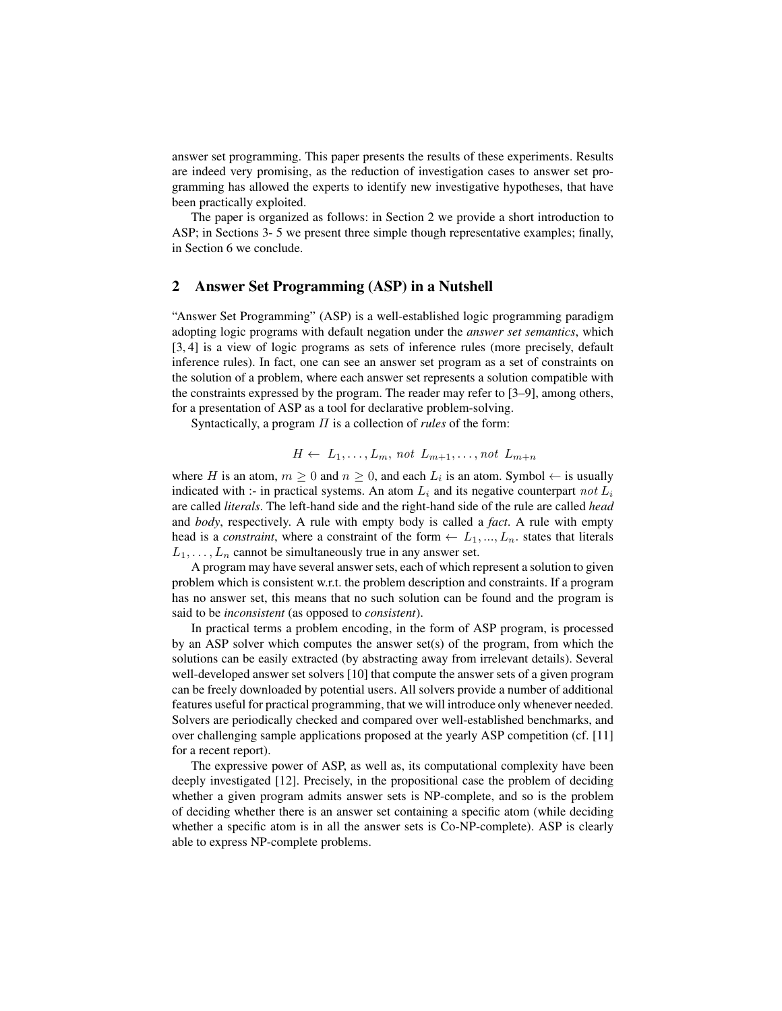answer set programming. This paper presents the results of these experiments. Results are indeed very promising, as the reduction of investigation cases to answer set programming has allowed the experts to identify new investigative hypotheses, that have been practically exploited.

The paper is organized as follows: in Section 2 we provide a short introduction to ASP; in Sections 3- 5 we present three simple though representative examples; finally, in Section 6 we conclude.

# 2 Answer Set Programming (ASP) in a Nutshell

"Answer Set Programming" (ASP) is a well-established logic programming paradigm adopting logic programs with default negation under the *answer set semantics*, which [3, 4] is a view of logic programs as sets of inference rules (more precisely, default inference rules). In fact, one can see an answer set program as a set of constraints on the solution of a problem, where each answer set represents a solution compatible with the constraints expressed by the program. The reader may refer to [3–9], among others, for a presentation of ASP as a tool for declarative problem-solving.

Syntactically, a program Π is a collection of *rules* of the form:

$$
H \leftarrow L_1, \ldots, L_m, \; not \; L_{m+1}, \ldots, not \; L_{m+n}
$$

where H is an atom,  $m \geq 0$  and  $n \geq 0$ , and each  $L_i$  is an atom. Symbol  $\leftarrow$  is usually indicated with :- in practical systems. An atom  $L_i$  and its negative counterpart not  $L_i$ are called *literals*. The left-hand side and the right-hand side of the rule are called *head* and *body*, respectively. A rule with empty body is called a *fact*. A rule with empty head is a *constraint*, where a constraint of the form  $\leftarrow L_1, ..., L_n$  states that literals  $L_1, \ldots, L_n$  cannot be simultaneously true in any answer set.

A program may have several answer sets, each of which represent a solution to given problem which is consistent w.r.t. the problem description and constraints. If a program has no answer set, this means that no such solution can be found and the program is said to be *inconsistent* (as opposed to *consistent*).

In practical terms a problem encoding, in the form of ASP program, is processed by an ASP solver which computes the answer set(s) of the program, from which the solutions can be easily extracted (by abstracting away from irrelevant details). Several well-developed answer set solvers [10] that compute the answer sets of a given program can be freely downloaded by potential users. All solvers provide a number of additional features useful for practical programming, that we will introduce only whenever needed. Solvers are periodically checked and compared over well-established benchmarks, and over challenging sample applications proposed at the yearly ASP competition (cf. [11] for a recent report).

The expressive power of ASP, as well as, its computational complexity have been deeply investigated [12]. Precisely, in the propositional case the problem of deciding whether a given program admits answer sets is NP-complete, and so is the problem of deciding whether there is an answer set containing a specific atom (while deciding whether a specific atom is in all the answer sets is Co-NP-complete). ASP is clearly able to express NP-complete problems.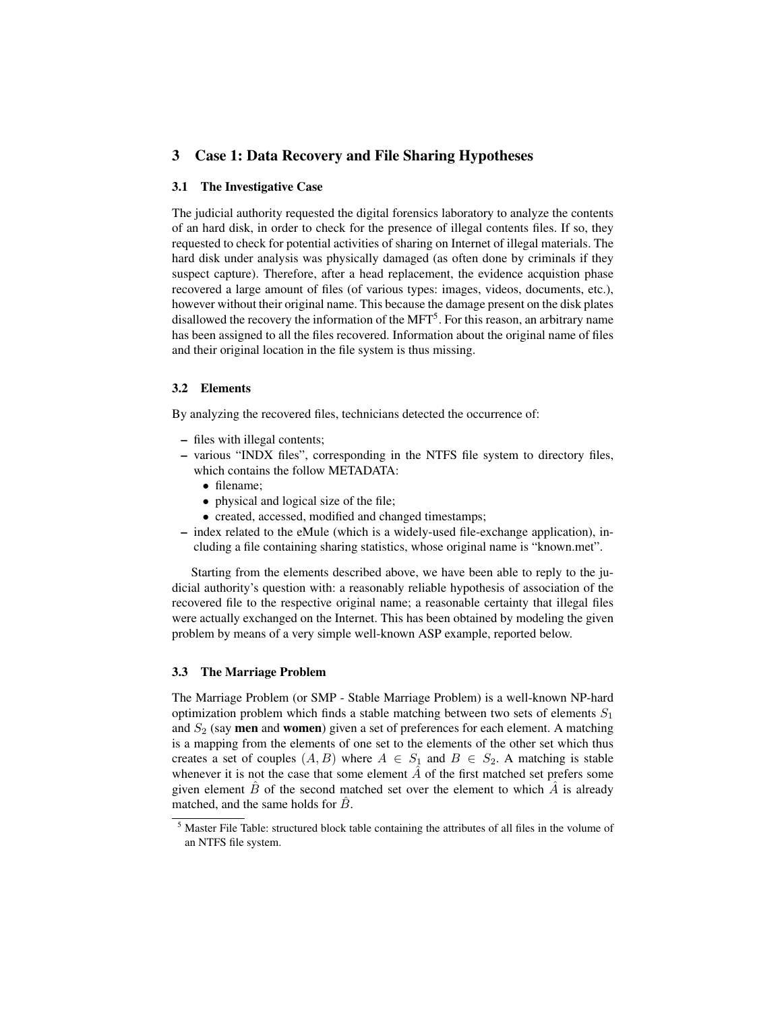# 3 Case 1: Data Recovery and File Sharing Hypotheses

### 3.1 The Investigative Case

The judicial authority requested the digital forensics laboratory to analyze the contents of an hard disk, in order to check for the presence of illegal contents files. If so, they requested to check for potential activities of sharing on Internet of illegal materials. The hard disk under analysis was physically damaged (as often done by criminals if they suspect capture). Therefore, after a head replacement, the evidence acquistion phase recovered a large amount of files (of various types: images, videos, documents, etc.), however without their original name. This because the damage present on the disk plates disallowed the recovery the information of the  $MFT<sup>5</sup>$ . For this reason, an arbitrary name has been assigned to all the files recovered. Information about the original name of files and their original location in the file system is thus missing.

### 3.2 Elements

By analyzing the recovered files, technicians detected the occurrence of:

- files with illegal contents;
- various "INDX files", corresponding in the NTFS file system to directory files, which contains the follow METADATA:
	- filename:
	- physical and logical size of the file;
	- created, accessed, modified and changed timestamps;
- index related to the eMule (which is a widely-used file-exchange application), including a file containing sharing statistics, whose original name is "known.met".

Starting from the elements described above, we have been able to reply to the judicial authority's question with: a reasonably reliable hypothesis of association of the recovered file to the respective original name; a reasonable certainty that illegal files were actually exchanged on the Internet. This has been obtained by modeling the given problem by means of a very simple well-known ASP example, reported below.

### 3.3 The Marriage Problem

The Marriage Problem (or SMP - Stable Marriage Problem) is a well-known NP-hard optimization problem which finds a stable matching between two sets of elements  $S_1$ and  $S_2$  (say **men** and **women**) given a set of preferences for each element. A matching is a mapping from the elements of one set to the elements of the other set which thus creates a set of couples  $(A, B)$  where  $A \in S_1$  and  $B \in S_2$ . A matching is stable whenever it is not the case that some element  $\hat{A}$  of the first matched set prefers some given element  $\hat{B}$  of the second matched set over the element to which  $\hat{A}$  is already matched, and the same holds for  $\ddot{B}$ .

<sup>5</sup> Master File Table: structured block table containing the attributes of all files in the volume of an NTFS file system.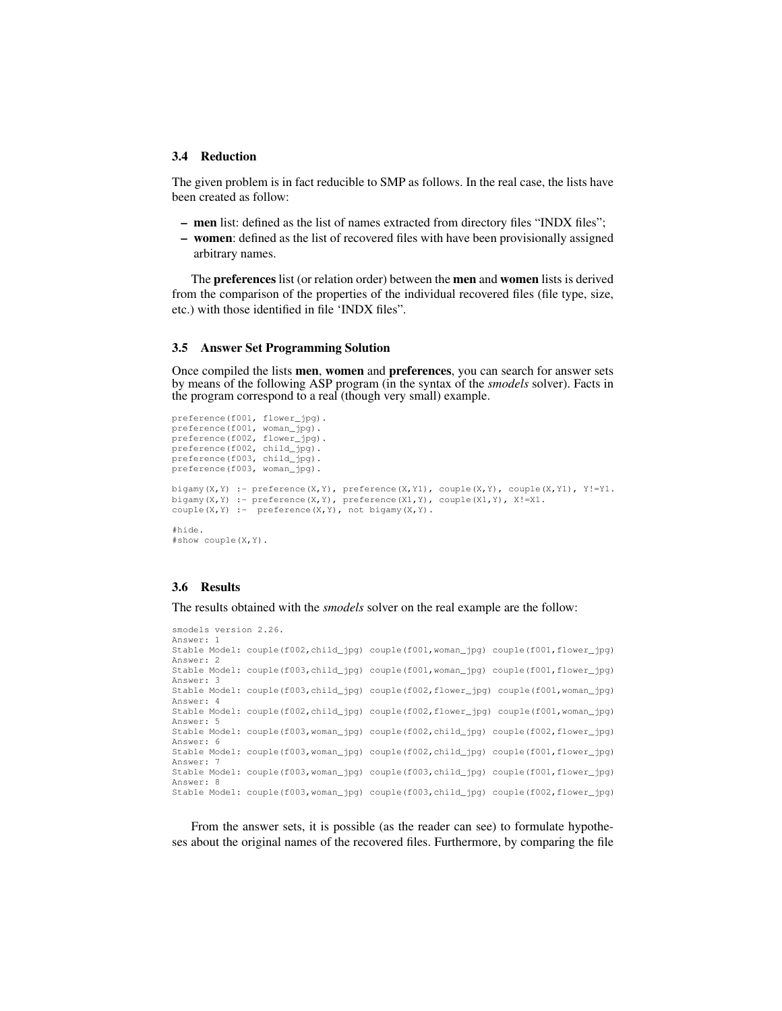#### 3.4 Reduction

The given problem is in fact reducible to SMP as follows. In the real case, the lists have been created as follow:

- men list: defined as the list of names extracted from directory files "INDX files";
- women: defined as the list of recovered files with have been provisionally assigned arbitrary names.

The preferences list (or relation order) between the men and women lists is derived from the comparison of the properties of the individual recovered files (file type, size, etc.) with those identified in file 'INDX files".

### 3.5 Answer Set Programming Solution

Once compiled the lists men, women and preferences, you can search for answer sets by means of the following ASP program (in the syntax of the *smodels* solver). Facts in the program correspond to a real (though very small) example.

```
preference(f001, flower_jpg).
preference(f001, woman_jpg).
preference(f002, flower_jpg).
preference(f002, child_jpg).
preference(f003, child_jpg).
preference(f003, woman_jpg).
bigamy(X,Y) :- preference(X,Y), preference(X,Y1), couple(X,Y), couple(X,Y1), Y!=Y1.
bigamy(X,Y) :- preference(X,Y), preference(X1,Y), couple(X1,Y), X!=X1.<br>couple(X,Y) :- preference(X,Y), not bigamy(X,Y).
#hide.
```
#show couple(X,Y).

# 3.6 Results

The results obtained with the *smodels* solver on the real example are the follow:

```
smodels version 2.26.
Answer: 1
Stable Model: couple(f002,child_jpg) couple(f001,woman_jpg) couple(f001,flower_jpg)
Answer: 2
Stable Model: couple(f003,child_jpg) couple(f001,woman_jpg) couple(f001,flower_jpg)
Answer: 3
Stable Model: couple(f003,child_jpg) couple(f002,flower_jpg) couple(f001,woman_jpg)
Answer: 4
Stable Model: couple(f002,child_jpg) couple(f002,flower_jpg) couple(f001,woman_jpg)
Answer: 5
Stable Model: couple(f003,woman_jpg) couple(f002,child_jpg) couple(f002,flower_jpg)
Answer: 6
Stable Model: couple(f003,woman_jpg) couple(f002,child_jpg) couple(f001,flower_jpg)
Answer: 7
Stable Model: couple(f003,woman_jpg) couple(f003,child_jpg) couple(f001,flower_jpg)
Answer: 8
Stable Model: couple(f003,woman_jpg) couple(f003,child_jpg) couple(f002,flower_jpg)
```
From the answer sets, it is possible (as the reader can see) to formulate hypotheses about the original names of the recovered files. Furthermore, by comparing the file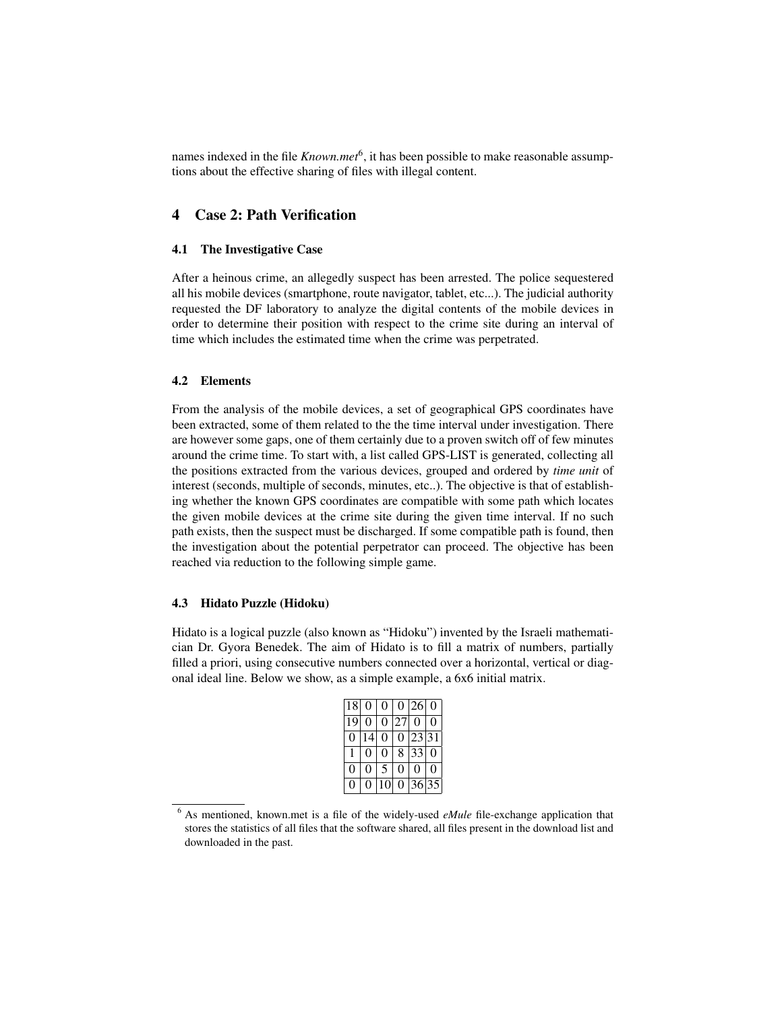names indexed in the file *Known.met*<sup>6</sup>, it has been possible to make reasonable assumptions about the effective sharing of files with illegal content.

# 4 Case 2: Path Verification

## 4.1 The Investigative Case

After a heinous crime, an allegedly suspect has been arrested. The police sequestered all his mobile devices (smartphone, route navigator, tablet, etc...). The judicial authority requested the DF laboratory to analyze the digital contents of the mobile devices in order to determine their position with respect to the crime site during an interval of time which includes the estimated time when the crime was perpetrated.

### 4.2 Elements

From the analysis of the mobile devices, a set of geographical GPS coordinates have been extracted, some of them related to the the time interval under investigation. There are however some gaps, one of them certainly due to a proven switch off of few minutes around the crime time. To start with, a list called GPS-LIST is generated, collecting all the positions extracted from the various devices, grouped and ordered by *time unit* of interest (seconds, multiple of seconds, minutes, etc..). The objective is that of establishing whether the known GPS coordinates are compatible with some path which locates the given mobile devices at the crime site during the given time interval. If no such path exists, then the suspect must be discharged. If some compatible path is found, then the investigation about the potential perpetrator can proceed. The objective has been reached via reduction to the following simple game.

#### 4.3 Hidato Puzzle (Hidoku)

Hidato is a logical puzzle (also known as "Hidoku") invented by the Israeli mathematician Dr. Gyora Benedek. The aim of Hidato is to fill a matrix of numbers, partially filled a priori, using consecutive numbers connected over a horizontal, vertical or diagonal ideal line. Below we show, as a simple example, a 6x6 initial matrix.

| 18 | $\theta$ | 0 | $^{(1)}$ | 26 | $\theta$ |
|----|----------|---|----------|----|----------|
|    | 0        | 0 | 27       | 0  | 0        |
|    |          | 0 | 0        | 23 | 131      |
|    | 0        | 0 | 8        | 33 | 0        |
|    | 0        | 5 | O        | 1  | 0        |
|    |          |   |          |    | 36 35    |

<sup>6</sup> As mentioned, known.met is a file of the widely-used *eMule* file-exchange application that stores the statistics of all files that the software shared, all files present in the download list and downloaded in the past.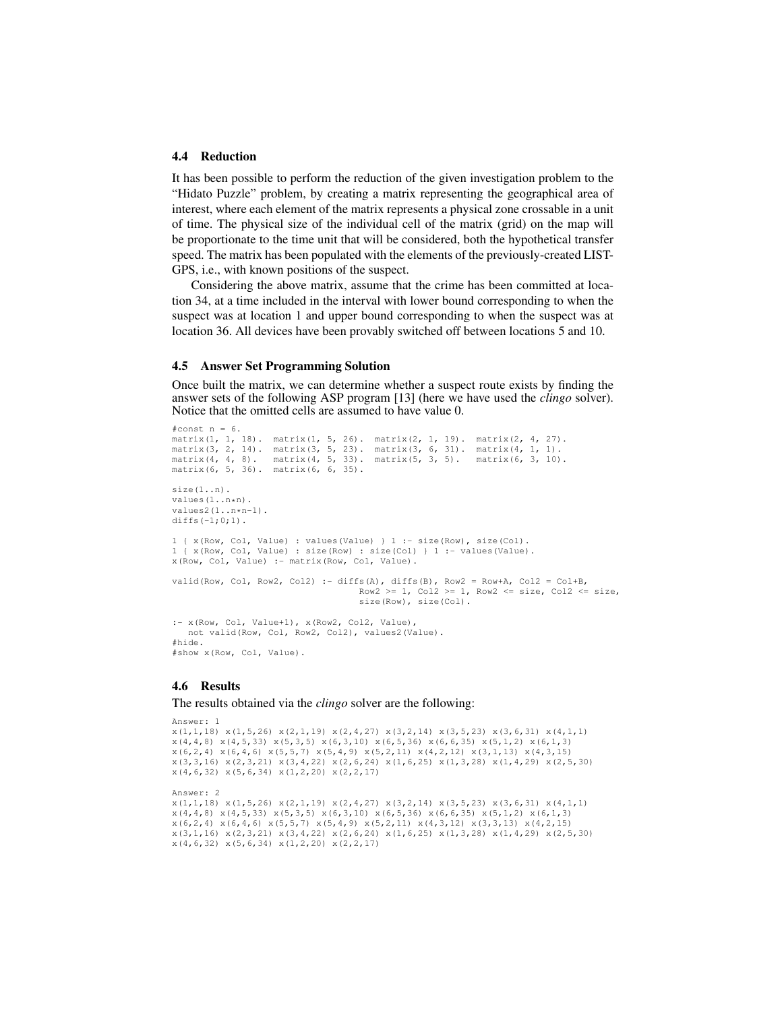#### 4.4 Reduction

It has been possible to perform the reduction of the given investigation problem to the "Hidato Puzzle" problem, by creating a matrix representing the geographical area of interest, where each element of the matrix represents a physical zone crossable in a unit of time. The physical size of the individual cell of the matrix (grid) on the map will be proportionate to the time unit that will be considered, both the hypothetical transfer speed. The matrix has been populated with the elements of the previously-created LIST-GPS, i.e., with known positions of the suspect.

Considering the above matrix, assume that the crime has been committed at location 34, at a time included in the interval with lower bound corresponding to when the suspect was at location 1 and upper bound corresponding to when the suspect was at location 36. All devices have been provably switched off between locations 5 and 10.

#### 4.5 Answer Set Programming Solution

Once built the matrix, we can determine whether a suspect route exists by finding the answer sets of the following ASP program [13] (here we have used the *clingo* solver). Notice that the omitted cells are assumed to have value 0.

```
#const n = 6.
matrix(1, 1, 18). matrix(1, 5, 26). matrix(2, 1, 19). matrix(2, 4, 27).
matrix(3, 2, 14). matrix(3, 5, 23). matrix(3, 6, 31). matrix(4, 1, 1).
matrix(4, 4, 8). matrix(4, 5, 33). matrix(5, 3, 5). matrix(6, 3, 10).
matrix(6, 5, 36). matrix(6, 6, 35).
size(1..n).
values(1..n*n).
values2(1..n*n-1).
diffs(-1:0:1).
1 { x(Row, Col, Value) : values(Value) } 1 :- size(Row), size(Col).
1 { x(Row, Col, Value) : size(Row) : size(Col) } 1 :- values(Value).
x(Row, Col, Value) :- matrix(Row, Col, Value).
valid(Row, Col, Row2, Col2) :- diffs(A), diffs(B), Row2 = Row+A, Col2 = Col+B,
                                       Row2 >= 1, Col2 >= 1, Row2 <= size, Col2 <= size,
                                        size(Row), size(Col).
:- x(Row, Col, Value+1), x(Row2, Col2, Value),
   not valid(Row, Col, Row2, Col2), values2(Value).
#hide.
#show x(Row, Col, Value).
```
### 4.6 Results

The results obtained via the *clingo* solver are the following:

```
Answer: 1
x(1,1,18) x(1,5,26) x(2,1,19) x(2,4,27) x(3,2,14) x(3,5,23) x(3,6,31) x(4,1,1)x(4,4,8) x(4,5,33) x(5,3,5) x(6,3,10) x(6,5,36) x(6,6,35) x(5,1,2) x(6,1,3)
x(6,2,4) x(6,4,6) x(5,5,7) x(5,4,9) x(5,2,11) x(4,2,12) x(3,1,13) x(4,3,15)
x(3,3,16) x(2,3,21) x(3,4,22) x(2,6,24) x(1,6,25) x(1,3,28) x(1,4,29) x(2,5,30)x(4, 6, 32) x(5, 6, 34) x(1, 2, 20) x(2, 2, 17)Answer: 2
x(1,1,18) x(1,5,26) x(2,1,19) x(2,4,27) x(3,2,14) x(3,5,23) x(3,6,31) x(4,1,1)x(4,4,8) x(4,5,33) x(5,3,5) x(6,3,10) x(6,5,36) x(6,6,35) x(5,1,2) x(6,1,3)x(6,2,4) x(6,4,6) x(5,5,7) x(5,4,9) x(5,2,11) x(4,3,12) x(3,3,13) x(4,2,15)
x(3,1,16) x(2,3,21) x(3,4,22) x(2,6,24) x(1,6,25) x(1,3,28) x(1,4,29) x(2,5,30)
x(4,6,32) x(5,6,34) x(1,2,20) x(2,2,17)
```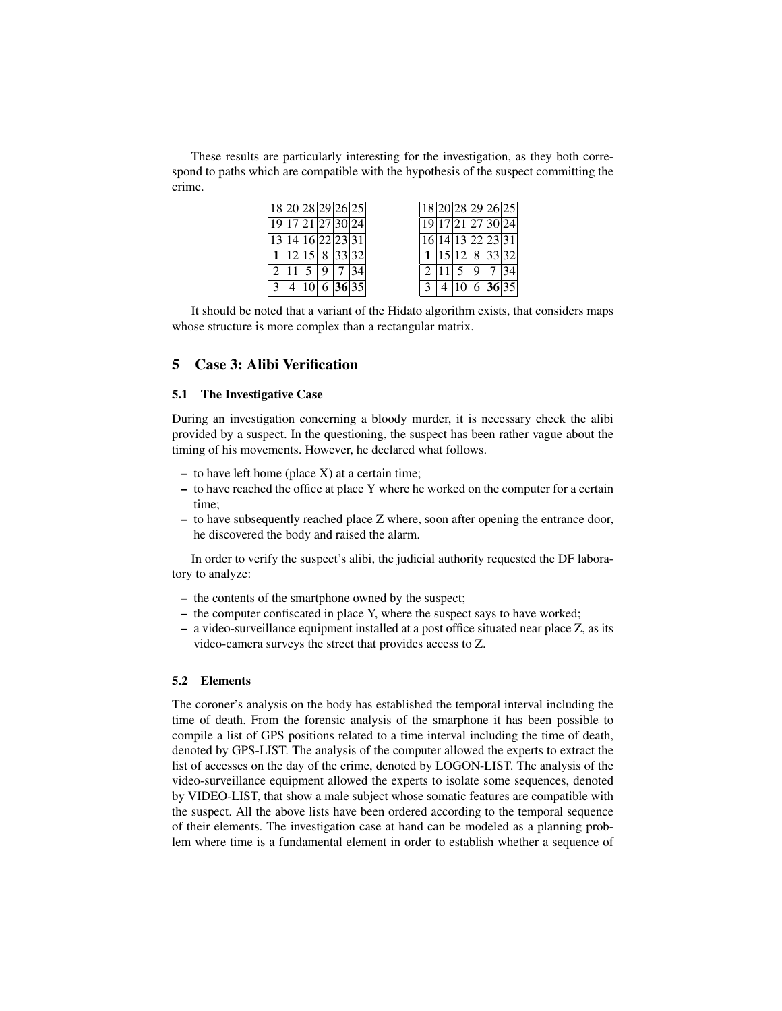These results are particularly interesting for the investigation, as they both correspond to paths which are compatible with the hypothesis of the suspect committing the crime.

| 18 20 28 29 26 25      |      |       |                                                       |  | 18 20 28 29 26 25  |            |                    |  |
|------------------------|------|-------|-------------------------------------------------------|--|--------------------|------------|--------------------|--|
| 19 17 21 27 30 24      |      |       |                                                       |  | 19 17 21 27 30 24  |            |                    |  |
| 13  14  16  22  23  31 |      |       |                                                       |  | 16 14 13 22 23 31  |            |                    |  |
|                        |      |       | $1 \vert 12 \vert 15 \vert 8 \vert 33 \vert 32 \vert$ |  | $1  15 12$ 8 33 32 |            |                    |  |
|                        | 2 11 | 5 9 7 |                                                       |  |                    |            | $9 \mid 7 \mid 34$ |  |
| $-3$ <sup>+</sup>      |      |       | 10 6 36 35                                            |  |                    | 10 6 36 35 |                    |  |

It should be noted that a variant of the Hidato algorithm exists, that considers maps whose structure is more complex than a rectangular matrix.

# 5 Case 3: Alibi Verification

### 5.1 The Investigative Case

During an investigation concerning a bloody murder, it is necessary check the alibi provided by a suspect. In the questioning, the suspect has been rather vague about the timing of his movements. However, he declared what follows.

- $-$  to have left home (place X) at a certain time;
- to have reached the office at place Y where he worked on the computer for a certain time;
- to have subsequently reached place Z where, soon after opening the entrance door, he discovered the body and raised the alarm.

In order to verify the suspect's alibi, the judicial authority requested the DF laboratory to analyze:

- the contents of the smartphone owned by the suspect;
- the computer confiscated in place Y, where the suspect says to have worked;
- a video-surveillance equipment installed at a post office situated near place Z, as its video-camera surveys the street that provides access to Z.

## 5.2 Elements

The coroner's analysis on the body has established the temporal interval including the time of death. From the forensic analysis of the smarphone it has been possible to compile a list of GPS positions related to a time interval including the time of death, denoted by GPS-LIST. The analysis of the computer allowed the experts to extract the list of accesses on the day of the crime, denoted by LOGON-LIST. The analysis of the video-surveillance equipment allowed the experts to isolate some sequences, denoted by VIDEO-LIST, that show a male subject whose somatic features are compatible with the suspect. All the above lists have been ordered according to the temporal sequence of their elements. The investigation case at hand can be modeled as a planning problem where time is a fundamental element in order to establish whether a sequence of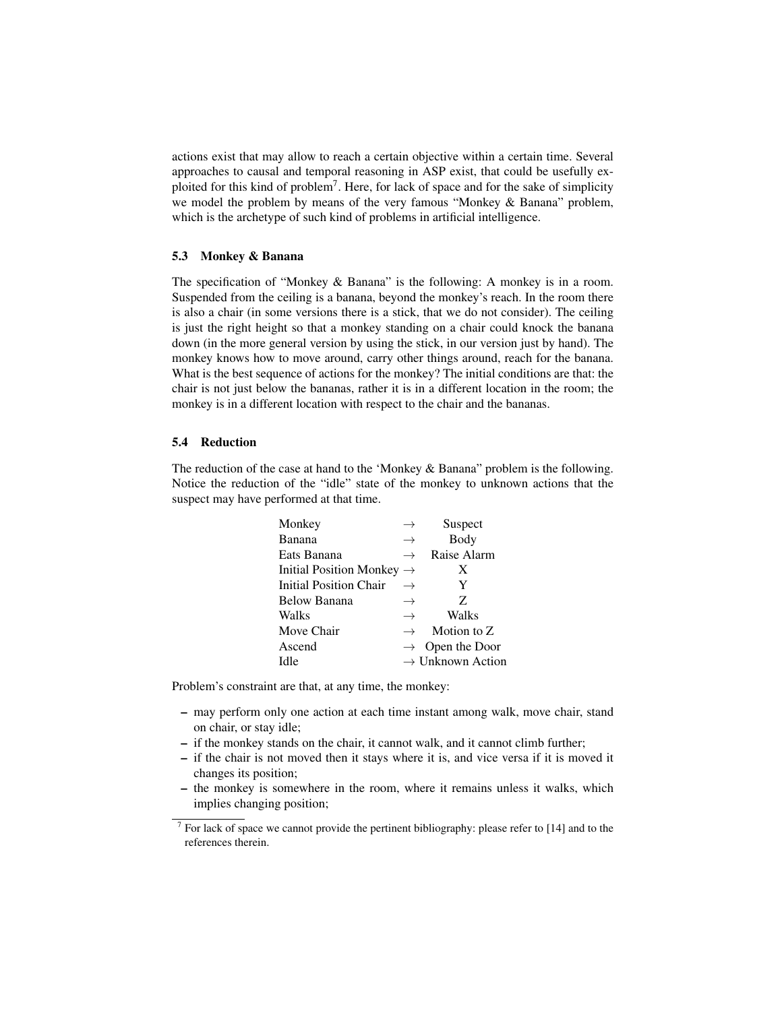actions exist that may allow to reach a certain objective within a certain time. Several approaches to causal and temporal reasoning in ASP exist, that could be usefully exploited for this kind of problem<sup>7</sup>. Here, for lack of space and for the sake of simplicity we model the problem by means of the very famous "Monkey & Banana" problem, which is the archetype of such kind of problems in artificial intelligence.

### 5.3 Monkey & Banana

The specification of "Monkey & Banana" is the following: A monkey is in a room. Suspended from the ceiling is a banana, beyond the monkey's reach. In the room there is also a chair (in some versions there is a stick, that we do not consider). The ceiling is just the right height so that a monkey standing on a chair could knock the banana down (in the more general version by using the stick, in our version just by hand). The monkey knows how to move around, carry other things around, reach for the banana. What is the best sequence of actions for the monkey? The initial conditions are that: the chair is not just below the bananas, rather it is in a different location in the room; the monkey is in a different location with respect to the chair and the bananas.

# 5.4 Reduction

The reduction of the case at hand to the 'Monkey & Banana" problem is the following. Notice the reduction of the "idle" state of the monkey to unknown actions that the suspect may have performed at that time.

| Monkey                                |               | Suspect                      |
|---------------------------------------|---------------|------------------------------|
| Banana                                | $\rightarrow$ | Body                         |
| Eats Banana                           | $\rightarrow$ | Raise Alarm                  |
| Initial Position Monkey $\rightarrow$ |               | X                            |
| Initial Position Chair                | $\rightarrow$ | Y                            |
| Below Banana                          | $\rightarrow$ | Z                            |
| Walks                                 | $\rightarrow$ | Walks                        |
| Move Chair                            |               | Motion to Z                  |
| Ascend                                |               | $\rightarrow$ Open the Door  |
| Idle                                  |               | $\rightarrow$ Unknown Action |

Problem's constraint are that, at any time, the monkey:

- may perform only one action at each time instant among walk, move chair, stand on chair, or stay idle;
- if the monkey stands on the chair, it cannot walk, and it cannot climb further;
- if the chair is not moved then it stays where it is, and vice versa if it is moved it changes its position;
- the monkey is somewhere in the room, where it remains unless it walks, which implies changing position;

 $<sup>7</sup>$  For lack of space we cannot provide the pertinent bibliography: please refer to [14] and to the</sup> references therein.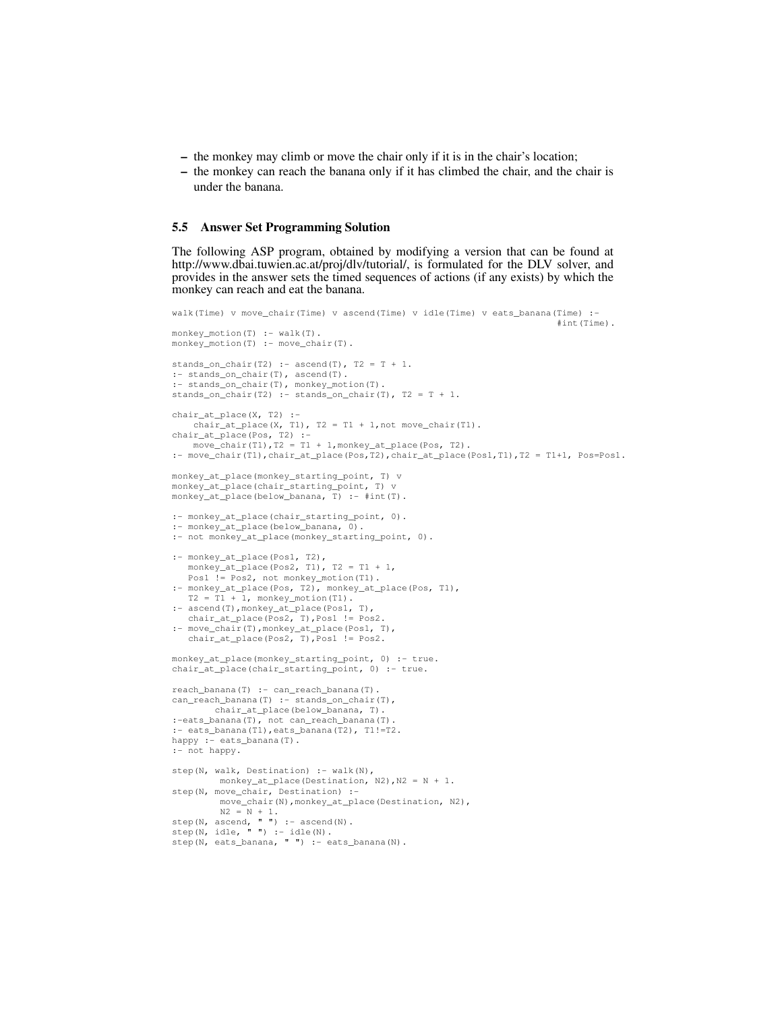- the monkey may climb or move the chair only if it is in the chair's location;
- the monkey can reach the banana only if it has climbed the chair, and the chair is under the banana.

#### 5.5 Answer Set Programming Solution

The following ASP program, obtained by modifying a version that can be found at http://www.dbai.tuwien.ac.at/proj/dlv/tutorial/, is formulated for the DLV solver, and provides in the answer sets the timed sequences of actions (if any exists) by which the monkey can reach and eat the banana.

```
walk(Time) v move_chair(Time) v ascend(Time) v idle(Time) v eats_banana(Time) :-
                                                                                #int(Time).
monkey_motion(T) :- walk(T).
monkey_motion(T) :- move_chair(T).
stands_on_chair(T2) :- ascend(T), T2 = T + 1.
:- stands_on_chair(T), ascend(T).
:- stands_on_chair(T), monkey_motion(T).
stands_on_chair(T2) :- stands_on_chair(T), T2 = T + 1.
chair_at_place(X, T2) :
    chair_at_place(X, T1), T2 = T1 + 1, not move_chair(T1).
char_at_plate(Pos, T2) :-
   \overline{\text{move}}chair(T1), T2 = T1 + 1, monkey_at_place(Pos, T2).
:- move_chair(T1),chair_at_place(Pos,T2),chair_at_place(Pos1,T1),T2 = T1+1, Pos=Pos1.
monkey_at_place(monkey_starting_point, T) v
monkey_at_place(chair_starting_point, T) v
monkey_at_place(below_banana, T) :- #int(T).
:- monkey at place(chair starting point, 0).
:- monkey_at_place(below_banana, 0).
:- not monkey_at_place(monkey_starting_point, 0).
:- monkey_at_place(Pos1, T2),
   \texttt{monkey\_at\_place(Pos2, T1), T2 = T1 + 1,}Pos1 != Pos2, not monkey_motion(T1).
:- monkey_at_place(Pos, T2), monkey_at_place(Pos, T1),
  T2 = T1 + 1, monkey motion(T1).
:- ascend(T),monkey_at_place(Pos1, T),
   chair_at_place(Pos2, T),Pos1 != Pos2.
:- move_chair(T),monkey_at_place(Pos1, T),
   chair_at_place(Pos2, T),Pos1 != Pos2.
monkey_at_place(monkey_starting_point, 0) :- true.
chair_at_place(chair_starting_point, 0) :- true.
reach_banana(T) :- can_reach_banana(T).
can_reach_banana(T) :- stands_on_chair(T),
        chair_at_place(below_banana, T).
:-eats_banana(T), not can_reach_banana(T).
:- eats_banana(T1), eats_banana(T2), T1!=T2.
happy :- eats_banana(T).
:- not happy.
step(N, walk, Destination) :- walk(N),
         monkey_at_place(Destination, N2),N2 = N + 1.
step(N, move_chair, Destination) :-
         move_chair(N),monkey_at_place(Destination, N2),
N2 = N + 1.<br>step(N, ascend, " ") :- ascend(N).<br>step(N, idle, " ") :- idle(N).<br>step(N, eats_banana, " ") :- eats_banana(N).
```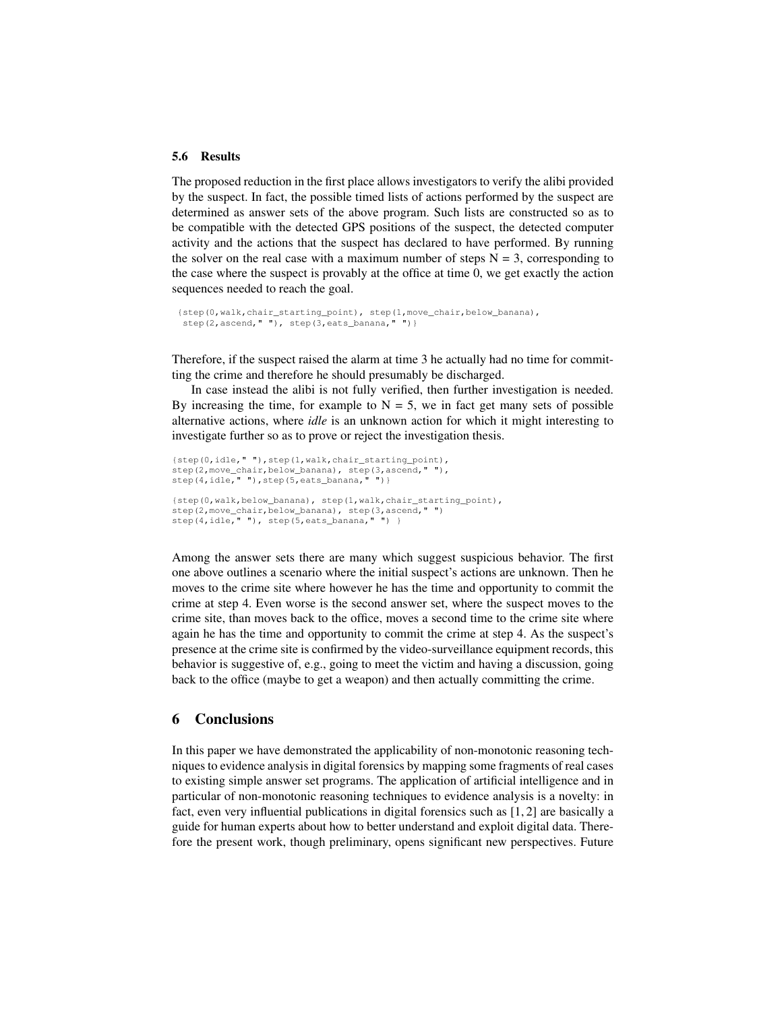#### 5.6 Results

The proposed reduction in the first place allows investigators to verify the alibi provided by the suspect. In fact, the possible timed lists of actions performed by the suspect are determined as answer sets of the above program. Such lists are constructed so as to be compatible with the detected GPS positions of the suspect, the detected computer activity and the actions that the suspect has declared to have performed. By running the solver on the real case with a maximum number of steps  $N = 3$ , corresponding to the case where the suspect is provably at the office at time 0, we get exactly the action sequences needed to reach the goal.

```
{step(0,walk,chair_starting_point), step(1,move_chair,below_banana),
step(2, ascend, " "), step(3, eats_banana, " ") }
```
Therefore, if the suspect raised the alarm at time 3 he actually had no time for committing the crime and therefore he should presumably be discharged.

In case instead the alibi is not fully verified, then further investigation is needed. By increasing the time, for example to  $N = 5$ , we in fact get many sets of possible alternative actions, where *idle* is an unknown action for which it might interesting to investigate further so as to prove or reject the investigation thesis.

```
{step(0,idle," "),step(1,walk,chair_starting_point),
step(2, move_chair, below_banana), step(3, ascend, ""),<br>step(4, idle, ""), step(5, eats_banana, "") }
{step(0,walk,below_banana), step(1,walk,chair_starting_point),
step(2,move_chair,below_banana), step(3,ascend," ")
step(4,idle,""), step(5,eats_banana,"") }
```
Among the answer sets there are many which suggest suspicious behavior. The first one above outlines a scenario where the initial suspect's actions are unknown. Then he moves to the crime site where however he has the time and opportunity to commit the crime at step 4. Even worse is the second answer set, where the suspect moves to the crime site, than moves back to the office, moves a second time to the crime site where again he has the time and opportunity to commit the crime at step 4. As the suspect's presence at the crime site is confirmed by the video-surveillance equipment records, this behavior is suggestive of, e.g., going to meet the victim and having a discussion, going back to the office (maybe to get a weapon) and then actually committing the crime.

# 6 Conclusions

In this paper we have demonstrated the applicability of non-monotonic reasoning techniques to evidence analysis in digital forensics by mapping some fragments of real cases to existing simple answer set programs. The application of artificial intelligence and in particular of non-monotonic reasoning techniques to evidence analysis is a novelty: in fact, even very influential publications in digital forensics such as [1, 2] are basically a guide for human experts about how to better understand and exploit digital data. Therefore the present work, though preliminary, opens significant new perspectives. Future